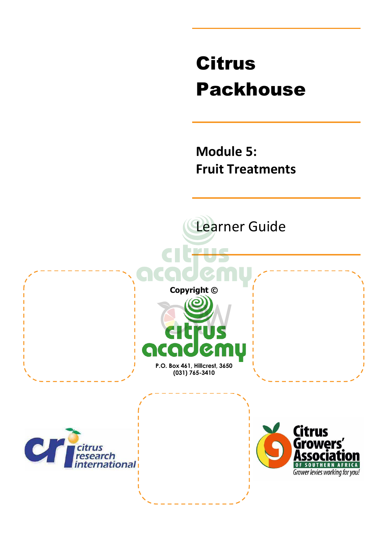# Citrus Packhouse

**Module 5: Fruit Treatments** 

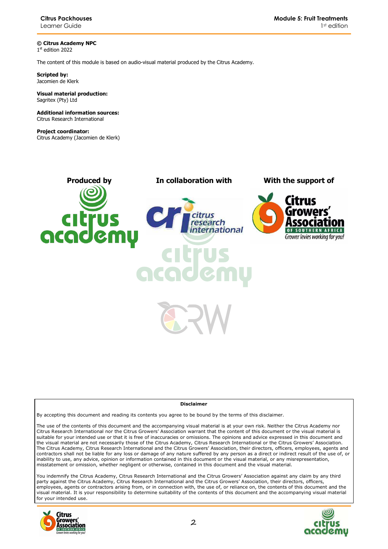**© Citrus Academy NPC**  1 st edition 2022

The content of this module is based on audio-visual material produced by the Citrus Academy.

**Scripted by:**  Jacomien de Klerk

#### **Visual material production:**  Sagritex (Pty) Ltd

**Additional information sources:**  Citrus Research International

**Project coordinator:** Citrus Academy (Jacomien de Klerk)



#### **Disclaimer**

By accepting this document and reading its contents you agree to be bound by the terms of this disclaimer.

The use of the contents of this document and the accompanying visual material is at your own risk. Neither the Citrus Academy nor Citrus Research International nor the Citrus Growers' Association warrant that the content of this document or the visual material is suitable for your intended use or that it is free of inaccuracies or omissions. The opinions and advice expressed in this document and the visual material are not necessarily those of the Citrus Academy, Citrus Research International or the Citrus Growers' Association. The Citrus Academy, Citrus Research International and the Citrus Growers' Association, their directors, officers, employees, agents and contractors shall not be liable for any loss or damage of any nature suffered by any person as a direct or indirect result of the use of, or inability to use, any advice, opinion or information contained in this document or the visual material, or any misrepresentation, misstatement or omission, whether negligent or otherwise, contained in this document and the visual material.

You indemnify the Citrus Academy, Citrus Research International and the Citrus Growers' Association against any claim by any third party against the Citrus Academy, Citrus Research International and the Citrus Growers' Association, their directors, officers, employees, agents or contractors arising from, or in connection with, the use of, or reliance on, the contents of this document and the visual material. It is your responsibility to determine suitability of the contents of this document and the accompanying visual material for your intended use.



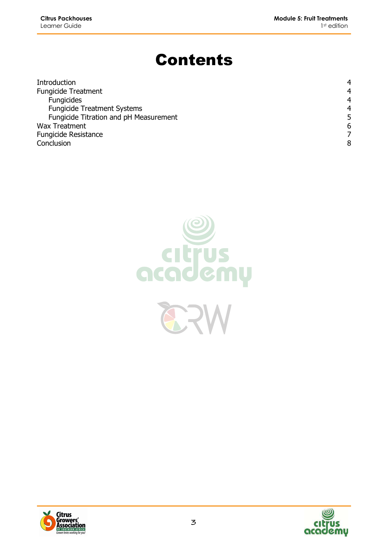# Contents

| Introduction                           | 4 |
|----------------------------------------|---|
| <b>Fungicide Treatment</b>             | 4 |
| <b>Fungicides</b>                      | 4 |
| <b>Fungicide Treatment Systems</b>     | 4 |
| Fungicide Titration and pH Measurement | 5 |
| <b>Wax Treatment</b>                   | 6 |
| <b>Fungicide Resistance</b>            |   |
| Conclusion                             | 8 |





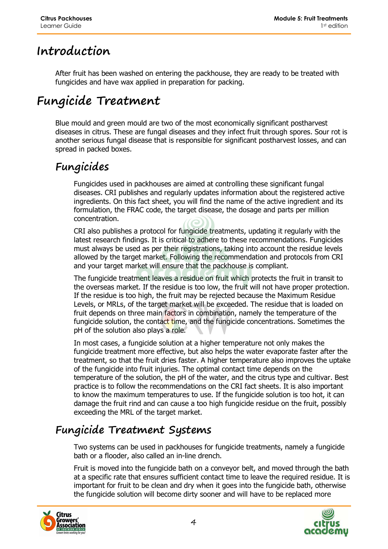### **Introduction**

After fruit has been washed on entering the packhouse, they are ready to be treated with fungicides and have wax applied in preparation for packing.

### **Fungicide Treatment**

Blue mould and green mould are two of the most economically significant postharvest diseases in citrus. These are fungal diseases and they infect fruit through spores. Sour rot is another serious fungal disease that is responsible for significant postharvest losses, and can spread in packed boxes.

#### **Fungicides**

Fungicides used in packhouses are aimed at controlling these significant fungal diseases. CRI publishes and regularly updates information about the registered active ingredients. On this fact sheet, you will find the name of the active ingredient and its formulation, the FRAC code, the target disease, the dosage and parts per million concentration.

CRI also publishes a protocol for fungicide treatments, updating it regularly with the latest research findings. It is critical to adhere to these recommendations. Fungicides must always be used as per their registrations, taking into account the residue levels allowed by the target market. Following the recommendation and protocols from CRI and your target market will ensure that the packhouse is compliant.

The fungicide treatment leaves a residue on fruit which protects the fruit in transit to the overseas market. If the residue is too low, the fruit will not have proper protection. If the residue is too high, the fruit may be rejected because the Maximum Residue Levels, or MRLs, of the target market will be exceeded. The residue that is loaded on fruit depends on three main factors in combination, namely the temperature of the fungicide solution, the contact time, and the fungicide concentrations. Sometimes the pH of the solution also plays a role.

In most cases, a fungicide solution at a higher temperature not only makes the fungicide treatment more effective, but also helps the water evaporate faster after the treatment, so that the fruit dries faster. A higher temperature also improves the uptake of the fungicide into fruit injuries. The optimal contact time depends on the temperature of the solution, the pH of the water, and the citrus type and cultivar. Best practice is to follow the recommendations on the CRI fact sheets. It is also important to know the maximum temperatures to use. If the fungicide solution is too hot, it can damage the fruit rind and can cause a too high fungicide residue on the fruit, possibly exceeding the MRL of the target market.

### **Fungicide Treatment Systems**

Two systems can be used in packhouses for fungicide treatments, namely a fungicide bath or a flooder, also called an in-line drench.

Fruit is moved into the fungicide bath on a conveyor belt, and moved through the bath at a specific rate that ensures sufficient contact time to leave the required residue. It is important for fruit to be clean and dry when it goes into the fungicide bath, otherwise the fungicide solution will become dirty sooner and will have to be replaced more



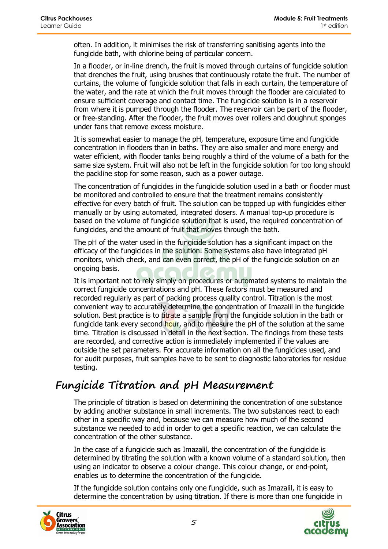often. In addition, it minimises the risk of transferring sanitising agents into the fungicide bath, with chlorine being of particular concern.

In a flooder, or in-line drench, the fruit is moved through curtains of fungicide solution that drenches the fruit, using brushes that continuously rotate the fruit. The number of curtains, the volume of fungicide solution that falls in each curtain, the temperature of the water, and the rate at which the fruit moves through the flooder are calculated to ensure sufficient coverage and contact time. The fungicide solution is in a reservoir from where it is pumped through the flooder. The reservoir can be part of the flooder, or free-standing. After the flooder, the fruit moves over rollers and doughnut sponges under fans that remove excess moisture.

It is somewhat easier to manage the pH, temperature, exposure time and fungicide concentration in flooders than in baths. They are also smaller and more energy and water efficient, with flooder tanks being roughly a third of the volume of a bath for the same size system. Fruit will also not be left in the fungicide solution for too long should the packline stop for some reason, such as a power outage.

The concentration of fungicides in the fungicide solution used in a bath or flooder must be monitored and controlled to ensure that the treatment remains consistently effective for every batch of fruit. The solution can be topped up with fungicides either manually or by using automated, integrated dosers. A manual top-up procedure is based on the volume of fungicide solution that is used, the required concentration of fungicides, and the amount of fruit that moves through the bath.

The pH of the water used in the fungicide solution has a significant impact on the efficacy of the fungicides in the solution. Some systems also have integrated pH monitors, which check, and can even correct, the pH of the fungicide solution on an ongoing basis.

It is important not to rely simply on procedures or automated systems to maintain the correct fungicide concentrations and pH. These factors must be measured and recorded regularly as part of packing process quality control. Titration is the most convenient way to accurately determine the concentration of Imazalil in the fungicide solution. Best practice is to titrate a sample from the fungicide solution in the bath or fungicide tank every second hour, and to measure the pH of the solution at the same time. Titration is discussed in detail in the next section. The findings from these tests are recorded, and corrective action is immediately implemented if the values are outside the set parameters. For accurate information on all the fungicides used, and for audit purposes, fruit samples have to be sent to diagnostic laboratories for residue testing.

#### **Fungicide Titration and pH Measurement**

The principle of titration is based on determining the concentration of one substance by adding another substance in small increments. The two substances react to each other in a specific way and, because we can measure how much of the second substance we needed to add in order to get a specific reaction, we can calculate the concentration of the other substance.

In the case of a fungicide such as Imazalil, the concentration of the fungicide is determined by titrating the solution with a known volume of a standard solution, then using an indicator to observe a colour change. This colour change, or end-point, enables us to determine the concentration of the fungicide.

If the fungicide solution contains only one fungicide, such as Imazalil, it is easy to determine the concentration by using titration. If there is more than one fungicide in



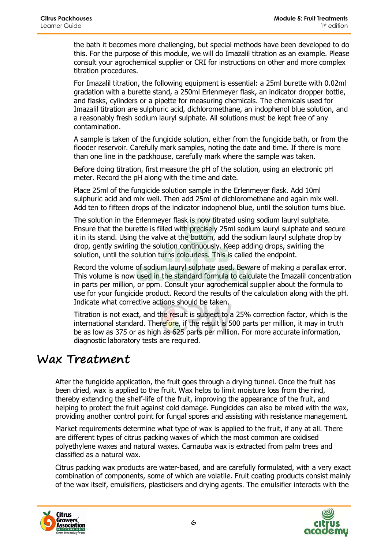the bath it becomes more challenging, but special methods have been developed to do this. For the purpose of this module, we will do Imazalil titration as an example. Please consult your agrochemical supplier or CRI for instructions on other and more complex titration procedures.

For Imazalil titration, the following equipment is essential: a 25ml burette with 0.02ml gradation with a burette stand, a 250ml Erlenmeyer flask, an indicator dropper bottle, and flasks, cylinders or a pipette for measuring chemicals. The chemicals used for Imazalil titration are sulphuric acid, dichloromethane, an indophenol blue solution, and a reasonably fresh sodium lauryl sulphate. All solutions must be kept free of any contamination.

A sample is taken of the fungicide solution, either from the fungicide bath, or from the flooder reservoir. Carefully mark samples, noting the date and time. If there is more than one line in the packhouse, carefully mark where the sample was taken.

Before doing titration, first measure the pH of the solution, using an electronic pH meter. Record the pH along with the time and date.

Place 25ml of the fungicide solution sample in the Erlenmeyer flask. Add 10ml sulphuric acid and mix well. Then add 25ml of dichloromethane and again mix well. Add ten to fifteen drops of the indicator indophenol blue, until the solution turns blue.

The solution in the Erlenmeyer flask is now titrated using sodium lauryl sulphate. Ensure that the burette is filled with precisely 25ml sodium lauryl sulphate and secure it in its stand. Using the valve at the bottom, add the sodium lauryl sulphate drop by drop, gently swirling the solution continuously. Keep adding drops, swirling the solution, until the solution turns colourless. This is called the endpoint.

Record the volume of sodium lauryl sulphate used. Beware of making a parallax error. This volume is now used in the standard formula to calculate the Imazalil concentration in parts per million, or ppm. Consult your agrochemical supplier about the formula to use for your fungicide product. Record the results of the calculation along with the pH. Indicate what corrective actions should be taken.

Titration is not exact, and the result is subject to a 25% correction factor, which is the international standard. Therefore, if the result is 500 parts per million, it may in truth be as low as 375 or as high as 625 parts per million. For more accurate information, diagnostic laboratory tests are required.

#### **Wax Treatment**

After the fungicide application, the fruit goes through a drying tunnel. Once the fruit has been dried, wax is applied to the fruit. Wax helps to limit moisture loss from the rind, thereby extending the shelf-life of the fruit, improving the appearance of the fruit, and helping to protect the fruit against cold damage. Fungicides can also be mixed with the wax, providing another control point for fungal spores and assisting with resistance management.

Market requirements determine what type of wax is applied to the fruit, if any at all. There are different types of citrus packing waxes of which the most common are oxidised polyethylene waxes and natural waxes. Carnauba wax is extracted from palm trees and classified as a natural wax.

Citrus packing wax products are water-based, and are carefully formulated, with a very exact combination of components, some of which are volatile. Fruit coating products consist mainly of the wax itself, emulsifiers, plasticisers and drying agents. The emulsifier interacts with the



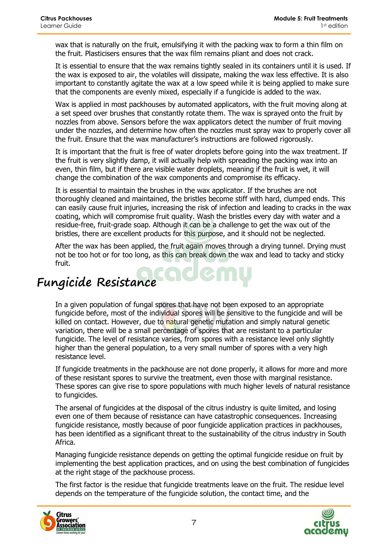wax that is naturally on the fruit, emulsifying it with the packing wax to form a thin film on the fruit. Plasticisers ensures that the wax film remains pliant and does not crack.

It is essential to ensure that the wax remains tightly sealed in its containers until it is used. If the wax is exposed to air, the volatiles will dissipate, making the wax less effective. It is also important to constantly agitate the wax at a low speed while it is being applied to make sure that the components are evenly mixed, especially if a fungicide is added to the wax.

Wax is applied in most packhouses by automated applicators, with the fruit moving along at a set speed over brushes that constantly rotate them. The wax is sprayed onto the fruit by nozzles from above. Sensors before the wax applicators detect the number of fruit moving under the nozzles, and determine how often the nozzles must spray wax to properly cover all the fruit. Ensure that the wax manufacturer's instructions are followed rigorously.

It is important that the fruit is free of water droplets before going into the wax treatment. If the fruit is very slightly damp, it will actually help with spreading the packing wax into an even, thin film, but if there are visible water droplets, meaning if the fruit is wet, it will change the combination of the wax components and compromise its efficacy.

It is essential to maintain the brushes in the wax applicator. If the brushes are not thoroughly cleaned and maintained, the bristles become stiff with hard, clumped ends. This can easily cause fruit injuries, increasing the risk of infection and leading to cracks in the wax coating, which will compromise fruit quality. Wash the bristles every day with water and a residue-free, fruit-grade soap. Although it can be a challenge to get the wax out of the bristles, there are excellent products for this purpose, and it should not be neglected.

After the wax has been applied, the fruit again moves through a drying tunnel. Drying must not be too hot or for too long, as this can break down the wax and lead to tacky and sticky fruit.

# **Fungicide Resistance**

In a given population of fungal spores that have not been exposed to an appropriate fungicide before, most of the individual spores will be sensitive to the fungicide and will be killed on contact. However, due to natural genetic mutation and simply natural genetic variation, there will be a small percentage of spores that are resistant to a particular fungicide. The level of resistance varies, from spores with a resistance level only slightly higher than the general population, to a very small number of spores with a very high resistance level.

If fungicide treatments in the packhouse are not done properly, it allows for more and more of these resistant spores to survive the treatment, even those with marginal resistance. These spores can give rise to spore populations with much higher levels of natural resistance to fungicides.

The arsenal of fungicides at the disposal of the citrus industry is quite limited, and losing even one of them because of resistance can have catastrophic consequences. Increasing fungicide resistance, mostly because of poor fungicide application practices in packhouses, has been identified as a significant threat to the sustainability of the citrus industry in South Africa.

Managing fungicide resistance depends on getting the optimal fungicide residue on fruit by implementing the best application practices, and on using the best combination of fungicides at the right stage of the packhouse process.

The first factor is the residue that fungicide treatments leave on the fruit. The residue level depends on the temperature of the fungicide solution, the contact time, and the